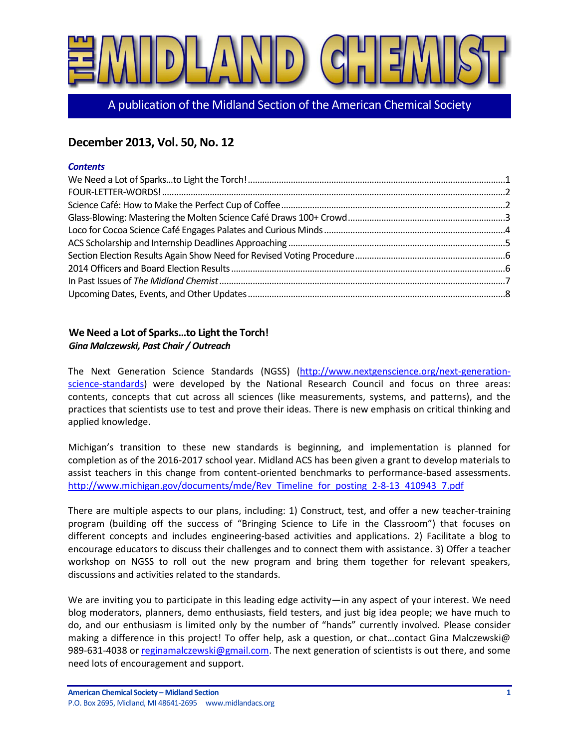

A publication of the Midland Section of the American Chemical Society

# **December 2013, Vol. 50, No. 12**

#### *Contents*

### <span id="page-0-0"></span>**We Need a Lot of Sparks…to Light the Torch!** *Gina Malczewski, Past Chair / Outreach*

The Next Generation Science Standards (NGSS) [\(http://www.nextgenscience.org/next-generation](http://www.nextgenscience.org/next-generation-science-standards)[science-standards\)](http://www.nextgenscience.org/next-generation-science-standards) were developed by the National Research Council and focus on three areas: contents, concepts that cut across all sciences (like measurements, systems, and patterns), and the practices that scientists use to test and prove their ideas. There is new emphasis on critical thinking and applied knowledge.

Michigan's transition to these new standards is beginning, and implementation is planned for completion as of the 2016-2017 school year. Midland ACS has been given a grant to develop materials to assist teachers in this change from content-oriented benchmarks to performance-based assessments. [http://www.michigan.gov/documents/mde/Rev\\_Timeline\\_for\\_posting\\_2-8-13\\_410943\\_7.pdf](http://www.michigan.gov/documents/mde/Rev_Timeline_for_posting_2-8-13_410943_7.pdf)

There are multiple aspects to our plans, including: 1) Construct, test, and offer a new teacher-training program (building off the success of "Bringing Science to Life in the Classroom") that focuses on different concepts and includes engineering-based activities and applications. 2) Facilitate a blog to encourage educators to discuss their challenges and to connect them with assistance. 3) Offer a teacher workshop on NGSS to roll out the new program and bring them together for relevant speakers, discussions and activities related to the standards.

We are inviting you to participate in this leading edge activity—in any aspect of your interest. We need blog moderators, planners, demo enthusiasts, field testers, and just big idea people; we have much to do, and our enthusiasm is limited only by the number of "hands" currently involved. Please consider making a difference in this project! To offer help, ask a question, or chat...contact Gina Malczewski@ 989-631-4038 or [reginamalczewski@gmail.com.](mailto:reginamalczewski@gmail.com) The next generation of scientists is out there, and some need lots of encouragement and support.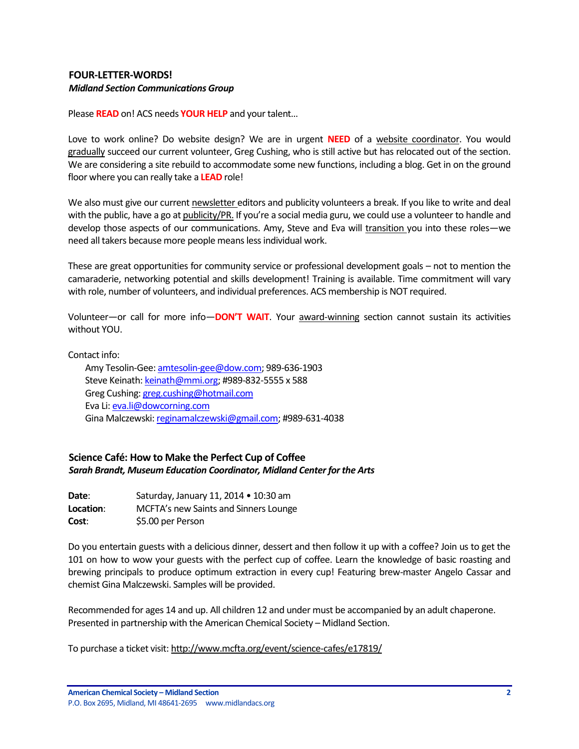### <span id="page-1-0"></span>**FOUR-LETTER-WORDS!** *Midland Section Communications Group*

Please **READ** on! ACS needs **YOUR HELP** and your talent…

Love to work online? Do website design? We are in urgent **NEED** of a website coordinator. You would gradually succeed our current volunteer, Greg Cushing, who is still active but has relocated out of the section. We are considering a site rebuild to accommodate some new functions, including a blog. Get in on the ground floor where you can really take a **LEAD** role!

We also must give our current newsletter editors and publicity volunteers a break. If you like to write and deal with the public, have a go at publicity/PR. If you're a social media guru, we could use a volunteer to handle and develop those aspects of our communications. Amy, Steve and Eva will transition you into these roles—we need all takers because more people means less individual work.

These are great opportunities for community service or professional development goals – not to mention the camaraderie, networking potential and skills development! Training is available. Time commitment will vary with role, number of volunteers, and individual preferences. ACS membership is NOT required.

Volunteer—or call for more info—**DON'T WAIT**. Your award-winning section cannot sustain its activities without YOU.

Contact info:

Amy Tesolin-Gee: [amtesolin-gee@dow.com;](mailto:amtesolin-gee@dow.com) 989-636-1903 Steve Keinath[: keinath@mmi.org;](mailto:keinath@mmi.org) #989-832-5555 x 588 Greg Cushing[: greg.cushing@hotmail.com](mailto:greg.cushing@hotmail.com) Eva Li[: eva.li@dowcorning.com](mailto:eva.li@dowcorning.com) Gina Malczewski[: reginamalczewski@gmail.com;](mailto:reginamalczewski@gmail.com) #989-631-4038

# <span id="page-1-1"></span>**Science Café: How to Make the Perfect Cup of Coffee** *Sarah Brandt, Museum Education Coordinator, Midland Center for the Arts*

| Date:     | Saturday, January 11, 2014 . 10:30 am |
|-----------|---------------------------------------|
| Location: | MCFTA's new Saints and Sinners Lounge |
| Cost:     | \$5.00 per Person                     |

Do you entertain guests with a delicious dinner, dessert and then follow it up with a coffee? Join us to get the 101 on how to wow your guests with the perfect cup of coffee. Learn the knowledge of basic roasting and brewing principals to produce optimum extraction in every cup! Featuring brew-master Angelo Cassar and chemist Gina Malczewski. Samples will be provided.

Recommended for ages 14 and up. All children 12 and under must be accompanied by an adult chaperone. Presented in partnership with th[e American Chemical Society](http://www.midlandacs.org/) – Midland Section.

To purchase a ticket visit: <http://www.mcfta.org/event/science-cafes/e17819/>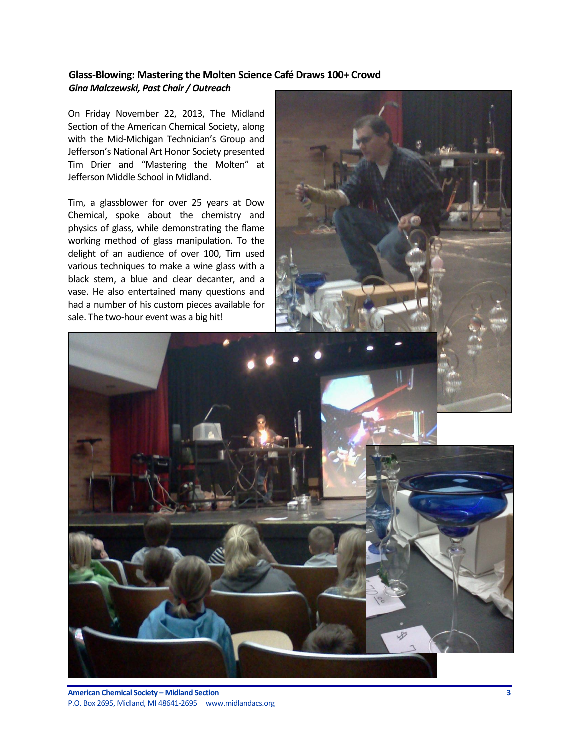# <span id="page-2-0"></span>**Glass-Blowing: Mastering the Molten Science Café Draws 100+ Crowd** *Gina Malczewski, Past Chair / Outreach*

On Friday November 22, 2013, The Midland Section of the American Chemical Society, along with the Mid-Michigan Technician's Group and Jefferson's National Art Honor Society presented Tim Drier and "Mastering the Molten" at Jefferson Middle School in Midland.

Tim, a glassblower for over 25 years at Dow Chemical, spoke about the chemistry and physics of glass, while demonstrating the flame working method of glass manipulation. To the delight of an audience of over 100, Tim used various techniques to make a wine glass with a black stem, a blue and clear decanter, and a vase. He also entertained many questions and had a number of his custom pieces available for sale. The two-hour event was a big hit!

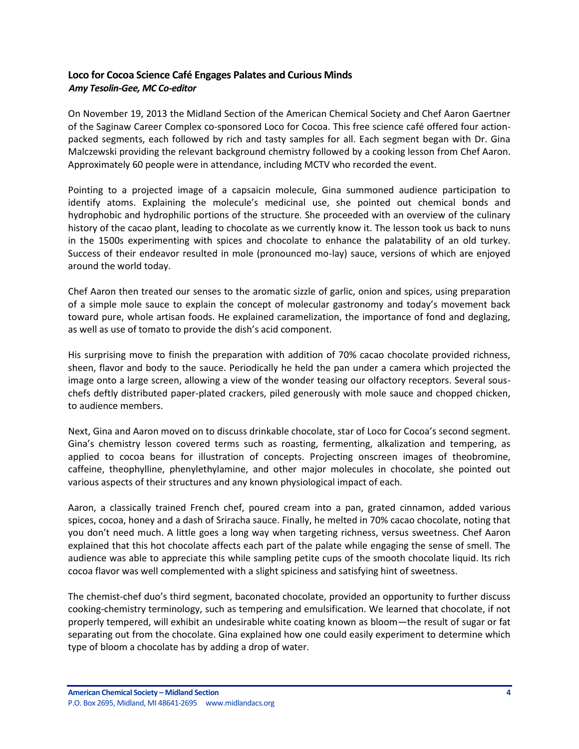# <span id="page-3-0"></span>**Loco for Cocoa Science Café Engages Palates and Curious Minds** *Amy Tesolin-Gee, MC Co-editor*

On November 19, 2013 the Midland Section of the American Chemical Society and Chef Aaron Gaertner of the Saginaw Career Complex co-sponsored Loco for Cocoa. This free science café offered four actionpacked segments, each followed by rich and tasty samples for all. Each segment began with Dr. Gina Malczewski providing the relevant background chemistry followed by a cooking lesson from Chef Aaron. Approximately 60 people were in attendance, including MCTV who recorded the event.

Pointing to a projected image of a capsaicin molecule, Gina summoned audience participation to identify atoms. Explaining the molecule's medicinal use, she pointed out chemical bonds and hydrophobic and hydrophilic portions of the structure. She proceeded with an overview of the culinary history of the cacao plant, leading to chocolate as we currently know it. The lesson took us back to nuns in the 1500s experimenting with spices and chocolate to enhance the palatability of an old turkey. Success of their endeavor resulted in mole (pronounced mo-lay) sauce, versions of which are enjoyed around the world today.

Chef Aaron then treated our senses to the aromatic sizzle of garlic, onion and spices, using preparation of a simple mole sauce to explain the concept of molecular gastronomy and today's movement back toward pure, whole artisan foods. He explained caramelization, the importance of fond and deglazing, as well as use of tomato to provide the dish's acid component.

His surprising move to finish the preparation with addition of 70% cacao chocolate provided richness, sheen, flavor and body to the sauce. Periodically he held the pan under a camera which projected the image onto a large screen, allowing a view of the wonder teasing our olfactory receptors. Several souschefs deftly distributed paper-plated crackers, piled generously with mole sauce and chopped chicken, to audience members.

Next, Gina and Aaron moved on to discuss drinkable chocolate, star of Loco for Cocoa's second segment. Gina's chemistry lesson covered terms such as roasting, fermenting, alkalization and tempering, as applied to cocoa beans for illustration of concepts. Projecting onscreen images of theobromine, caffeine, theophylline, phenylethylamine, and other major molecules in chocolate, she pointed out various aspects of their structures and any known physiological impact of each.

Aaron, a classically trained French chef, poured cream into a pan, grated cinnamon, added various spices, cocoa, honey and a dash of Sriracha sauce. Finally, he melted in 70% cacao chocolate, noting that you don't need much. A little goes a long way when targeting richness, versus sweetness. Chef Aaron explained that this hot chocolate affects each part of the palate while engaging the sense of smell. The audience was able to appreciate this while sampling petite cups of the smooth chocolate liquid. Its rich cocoa flavor was well complemented with a slight spiciness and satisfying hint of sweetness.

The chemist-chef duo's third segment, baconated chocolate, provided an opportunity to further discuss cooking-chemistry terminology, such as tempering and emulsification. We learned that chocolate, if not properly tempered, will exhibit an undesirable white coating known as bloom—the result of sugar or fat separating out from the chocolate. Gina explained how one could easily experiment to determine which type of bloom a chocolate has by adding a drop of water.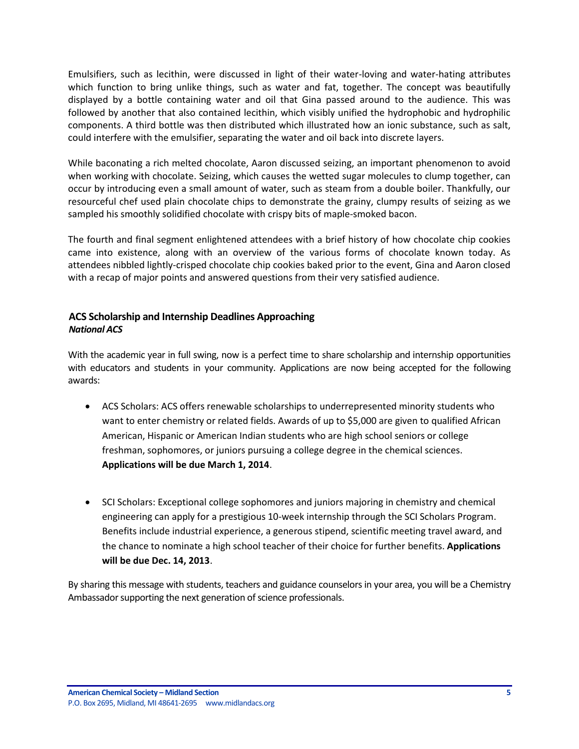Emulsifiers, such as lecithin, were discussed in light of their water-loving and water-hating attributes which function to bring unlike things, such as water and fat, together. The concept was beautifully displayed by a bottle containing water and oil that Gina passed around to the audience. This was followed by another that also contained lecithin, which visibly unified the hydrophobic and hydrophilic components. A third bottle was then distributed which illustrated how an ionic substance, such as salt, could interfere with the emulsifier, separating the water and oil back into discrete layers.

While baconating a rich melted chocolate, Aaron discussed seizing, an important phenomenon to avoid when working with chocolate. Seizing, which causes the wetted sugar molecules to clump together, can occur by introducing even a small amount of water, such as steam from a double boiler. Thankfully, our resourceful chef used plain chocolate chips to demonstrate the grainy, clumpy results of seizing as we sampled his smoothly solidified chocolate with crispy bits of maple-smoked bacon.

The fourth and final segment enlightened attendees with a brief history of how chocolate chip cookies came into existence, along with an overview of the various forms of chocolate known today. As attendees nibbled lightly-crisped chocolate chip cookies baked prior to the event, Gina and Aaron closed with a recap of major points and answered questions from their very satisfied audience.

# <span id="page-4-0"></span>**ACS Scholarship and Internship Deadlines Approaching** *National ACS*

With the academic year in full swing, now is a perfect time to share scholarship and internship opportunities with educators and students in your community. Applications are now being accepted for the following awards:

- ACS Scholars: ACS offers renewable scholarships to underrepresented minority students who want to enter chemistry or related fields. Awards of up to \$5,000 are given to qualified African American, Hispanic or American Indian students who are high school seniors or college freshman, sophomores, or juniors pursuing a college degree in the chemical sciences. **Applications will be due March 1, 2014**.
- SCI Scholars: Exceptional college sophomores and juniors majoring in chemistry and chemical engineering can apply for a prestigious 10-week internship through the SCI Scholars Program. Benefits include industrial experience, a generous stipend, scientific meeting travel award, and the chance to nominate a high school teacher of their choice for further benefits. **Applications will be due Dec. 14, 2013**.

By sharing this message with students, teachers and guidance counselors in your area, you will be a Chemistry Ambassador supporting the next generation of science professionals.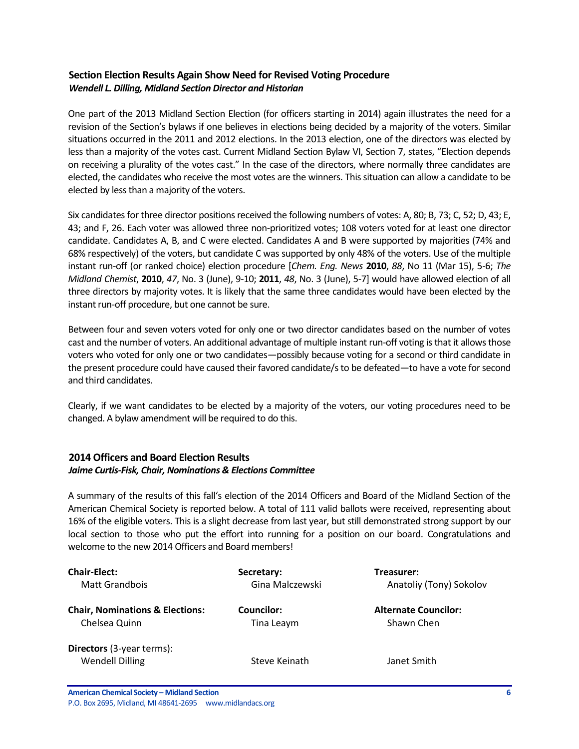# <span id="page-5-0"></span>**Section Election Results Again Show Need for Revised Voting Procedure**  *Wendell L. Dilling, Midland Section Director and Historian*

One part of the 2013 Midland Section Election (for officers starting in 2014) again illustrates the need for a revision of the Section's bylaws if one believes in elections being decided by a majority of the voters. Similar situations occurred in the 2011 and 2012 elections. In the 2013 election, one of the directors was elected by less than a majority of the votes cast. Current Midland Section Bylaw VI, Section 7, states, "Election depends on receiving a plurality of the votes cast." In the case of the directors, where normally three candidates are elected, the candidates who receive the most votes are the winners. This situation can allow a candidate to be elected by less than a majority of the voters.

Six candidates for three director positions received the following numbers of votes: A, 80; B, 73; C, 52; D, 43; E, 43; and F, 26. Each voter was allowed three non-prioritized votes; 108 voters voted for at least one director candidate. Candidates A, B, and C were elected. Candidates A and B were supported by majorities (74% and 68% respectively) of the voters, but candidate C was supported by only 48% of the voters. Use of the multiple instant run-off (or ranked choice) election procedure [*Chem. Eng. News* **2010**, *88*, No 11 (Mar 15), 5-6; *The Midland Chemist*, **2010**, *47*, No. 3 (June), 9-10; **2011**, *48*, No. 3 (June), 5-7] would have allowed election of all three directors by majority votes. It is likely that the same three candidates would have been elected by the instant run-off procedure, but one cannot be sure.

Between four and seven voters voted for only one or two director candidates based on the number of votes cast and the number of voters. An additional advantage of multiple instant run-off voting is that it allows those voters who voted for only one or two candidates—possibly because voting for a second or third candidate in the present procedure could have caused their favored candidate/s to be defeated—to have a vote for second and third candidates.

Clearly, if we want candidates to be elected by a majority of the voters, our voting procedures need to be changed. A bylaw amendment will be required to do this.

### <span id="page-5-1"></span>**2014 Officers and Board Election Results** *Jaime Curtis-Fisk, Chair, Nominations & Elections Committee*

A summary of the results of this fall's election of the 2014 Officers and Board of the Midland Section of the American Chemical Society is reported below. A total of 111 valid ballots were received, representing about 16% of the eligible voters. This is a slight decrease from last year, but still demonstrated strong support by our local section to those who put the effort into running for a position on our board. Congratulations and welcome to the new 2014 Officers and Board members!

| <b>Chair-Elect:</b>                                        | Secretary:      | Treasurer:                  |
|------------------------------------------------------------|-----------------|-----------------------------|
| Matt Grandbois                                             | Gina Malczewski | Anatoliy (Tony) Sokolov     |
| <b>Chair, Nominations &amp; Elections:</b>                 | Councilor:      | <b>Alternate Councilor:</b> |
| Chelsea Quinn                                              | Tina Leaym      | Shawn Chen                  |
| <b>Directors</b> (3-year terms):<br><b>Wendell Dilling</b> | Steve Keinath   | Janet Smith                 |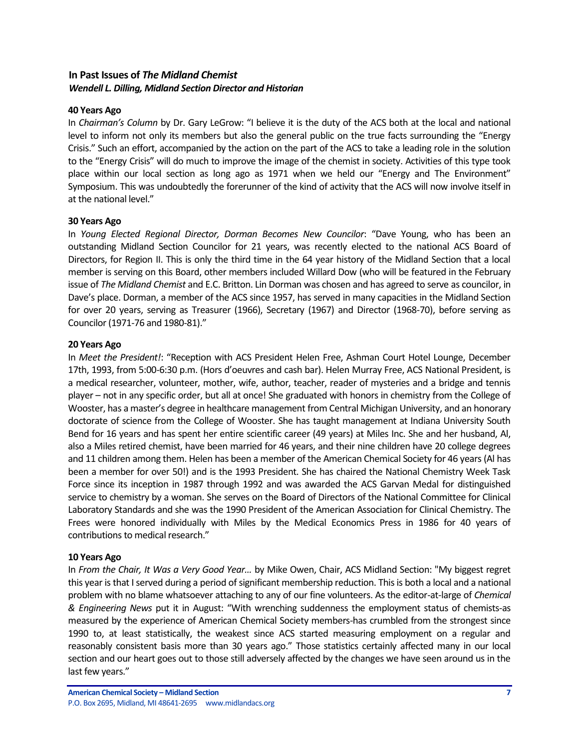### <span id="page-6-0"></span>**In Past Issues of** *The Midland Chemist Wendell L. Dilling, Midland Section Director and Historian*

#### **40 Years Ago**

In *Chairman's Column* by Dr. Gary LeGrow: "I believe it is the duty of the ACS both at the local and national level to inform not only its members but also the general public on the true facts surrounding the "Energy Crisis." Such an effort, accompanied by the action on the part of the ACS to take a leading role in the solution to the "Energy Crisis" will do much to improve the image of the chemist in society. Activities of this type took place within our local section as long ago as 1971 when we held our "Energy and The Environment" Symposium. This was undoubtedly the forerunner of the kind of activity that the ACS will now involve itself in at the national level."

#### **30 Years Ago**

In *Young Elected Regional Director, Dorman Becomes New Councilor*: "Dave Young, who has been an outstanding Midland Section Councilor for 21 years, was recently elected to the national ACS Board of Directors, for Region II. This is only the third time in the 64 year history of the Midland Section that a local member is serving on this Board, other members included Willard Dow (who will be featured in the February issue of *The Midland Chemist* and E.C. Britton. Lin Dorman was chosen and has agreed to serve as councilor, in Dave's place. Dorman, a member of the ACS since 1957, has served in many capacities in the Midland Section for over 20 years, serving as Treasurer (1966), Secretary (1967) and Director (1968-70), before serving as Councilor (1971-76 and 1980-81)."

#### **20 Years Ago**

In *Meet the President!*: "Reception with ACS President Helen Free, Ashman Court Hotel Lounge, December 17th, 1993, from 5:00-6:30 p.m. (Hors d'oeuvres and cash bar). Helen Murray Free, ACS National President, is a medical researcher, volunteer, mother, wife, author, teacher, reader of mysteries and a bridge and tennis player – not in any specific order, but all at once! She graduated with honors in chemistry from the College of Wooster, has a master's degree in healthcare management from Central Michigan University, and an honorary doctorate of science from the College of Wooster. She has taught management at Indiana University South Bend for 16 years and has spent her entire scientific career (49 years) at Miles Inc. She and her husband, Al, also a Miles retired chemist, have been married for 46 years, and their nine children have 20 college degrees and 11 children among them. Helen has been a member of the American Chemical Society for 46 years (Al has been a member for over 50!) and is the 1993 President. She has chaired the National Chemistry Week Task Force since its inception in 1987 through 1992 and was awarded the ACS Garvan Medal for distinguished service to chemistry by a woman. She serves on the Board of Directors of the National Committee for Clinical Laboratory Standards and she was the 1990 President of the American Association for Clinical Chemistry. The Frees were honored individually with Miles by the Medical Economics Press in 1986 for 40 years of contributions to medical research."

#### **10 Years Ago**

In *From the Chair, It Was a Very Good Year…* by Mike Owen, Chair, ACS Midland Section: "My biggest regret this year is that I served during a period of significant membership reduction. This is both a local and a national problem with no blame whatsoever attaching to any of our fine volunteers. As the editor-at-large of *Chemical & Engineering News* put it in August: "With wrenching suddenness the employment status of chemists-as measured by the experience of American Chemical Society members-has crumbled from the strongest since 1990 to, at least statistically, the weakest since ACS started measuring employment on a regular and reasonably consistent basis more than 30 years ago." Those statistics certainly affected many in our local section and our heart goes out to those still adversely affected by the changes we have seen around us in the last few years."